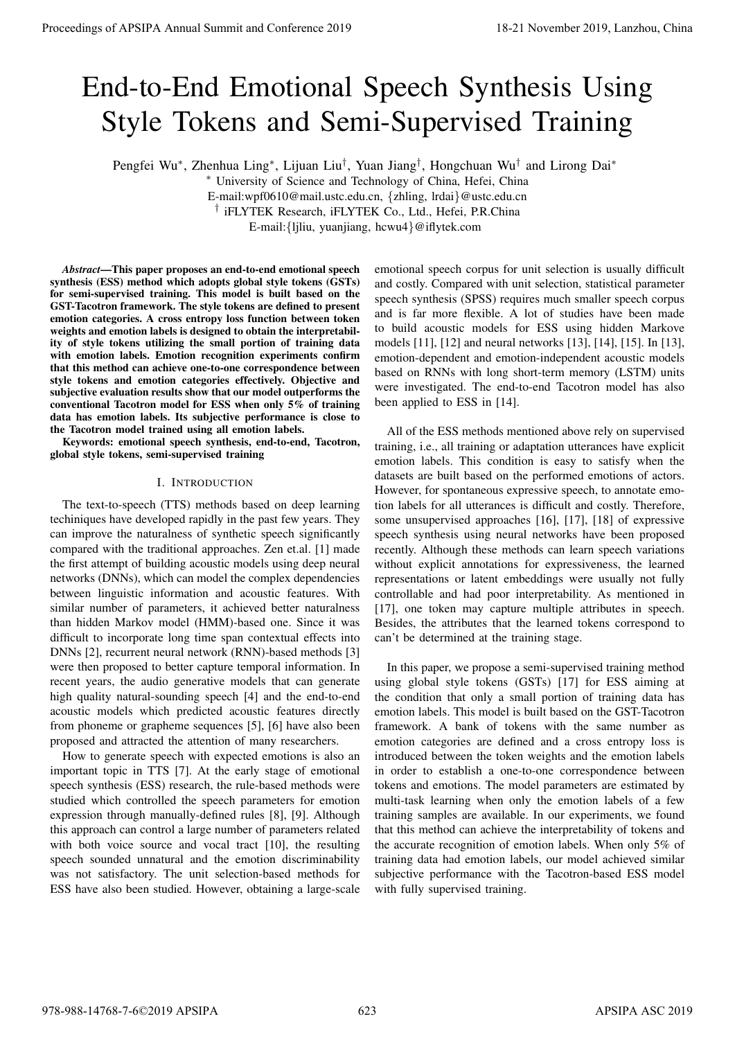# End-to-End Emotional Speech Synthesis Using Style Tokens and Semi-Supervised Training

Pengfei Wu<sup>∗</sup>, Zhenhua Ling<sup>∗</sup>, Lijuan Liu<sup>†</sup>, Yuan Jiang<sup>†</sup>, Hongchuan Wu<sup>†</sup> and Lirong Dai<sup>∗</sup>

<sup>∗</sup> University of Science and Technology of China, Hefei, China

E-mail:wpf0610@mail.ustc.edu.cn, {zhling, lrdai}@ustc.edu.cn

† iFLYTEK Research, iFLYTEK Co., Ltd., Hefei, P.R.China

E-mail:{ljliu, yuanjiang, hcwu4}@iflytek.com

*Abstract*—This paper proposes an end-to-end emotional speech synthesis (ESS) method which adopts global style tokens (GSTs) for semi-supervised training. This model is built based on the GST-Tacotron framework. The style tokens are defined to present emotion categories. A cross entropy loss function between token weights and emotion labels is designed to obtain the interpretability of style tokens utilizing the small portion of training data with emotion labels. Emotion recognition experiments confirm that this method can achieve one-to-one correspondence between style tokens and emotion categories effectively. Objective and subjective evaluation results show that our model outperforms the conventional Tacotron model for ESS when only 5% of training data has emotion labels. Its subjective performance is close to the Tacotron model trained using all emotion labels.

Keywords: emotional speech synthesis, end-to-end, Tacotron, global style tokens, semi-supervised training

## I. INTRODUCTION

The text-to-speech (TTS) methods based on deep learning techiniques have developed rapidly in the past few years. They can improve the naturalness of synthetic speech significantly compared with the traditional approaches. Zen et.al. [1] made the first attempt of building acoustic models using deep neural networks (DNNs), which can model the complex dependencies between linguistic information and acoustic features. With similar number of parameters, it achieved better naturalness than hidden Markov model (HMM)-based one. Since it was difficult to incorporate long time span contextual effects into DNNs [2], recurrent neural network (RNN)-based methods [3] were then proposed to better capture temporal information. In recent years, the audio generative models that can generate high quality natural-sounding speech [4] and the end-to-end acoustic models which predicted acoustic features directly from phoneme or grapheme sequences [5], [6] have also been proposed and attracted the attention of many researchers. **Proceedings of APSIPA Annual Summit and Conference 2019**<br> **End-to-End Emotional Speech Synthesis Using Style Tokens and Semi-Summit and Conference 2022 and 2019, Lanzhou and Semi-Summit and Conference 2022 and 2019, Lanz** 

How to generate speech with expected emotions is also an important topic in TTS [7]. At the early stage of emotional speech synthesis (ESS) research, the rule-based methods were studied which controlled the speech parameters for emotion expression through manually-defined rules [8], [9]. Although this approach can control a large number of parameters related with both voice source and vocal tract [10], the resulting speech sounded unnatural and the emotion discriminability was not satisfactory. The unit selection-based methods for ESS have also been studied. However, obtaining a large-scale

emotional speech corpus for unit selection is usually difficult and costly. Compared with unit selection, statistical parameter speech synthesis (SPSS) requires much smaller speech corpus and is far more flexible. A lot of studies have been made to build acoustic models for ESS using hidden Markove models [11], [12] and neural networks [13], [14], [15]. In [13], emotion-dependent and emotion-independent acoustic models based on RNNs with long short-term memory (LSTM) units were investigated. The end-to-end Tacotron model has also been applied to ESS in [14].

All of the ESS methods mentioned above rely on supervised training, i.e., all training or adaptation utterances have explicit emotion labels. This condition is easy to satisfy when the datasets are built based on the performed emotions of actors. However, for spontaneous expressive speech, to annotate emotion labels for all utterances is difficult and costly. Therefore, some unsupervised approaches [16], [17], [18] of expressive speech synthesis using neural networks have been proposed recently. Although these methods can learn speech variations without explicit annotations for expressiveness, the learned representations or latent embeddings were usually not fully controllable and had poor interpretability. As mentioned in [17], one token may capture multiple attributes in speech. Besides, the attributes that the learned tokens correspond to can't be determined at the training stage.

In this paper, we propose a semi-supervised training method using global style tokens (GSTs) [17] for ESS aiming at the condition that only a small portion of training data has emotion labels. This model is built based on the GST-Tacotron framework. A bank of tokens with the same number as emotion categories are defined and a cross entropy loss is introduced between the token weights and the emotion labels in order to establish a one-to-one correspondence between tokens and emotions. The model parameters are estimated by multi-task learning when only the emotion labels of a few training samples are available. In our experiments, we found that this method can achieve the interpretability of tokens and the accurate recognition of emotion labels. When only 5% of training data had emotion labels, our model achieved similar subjective performance with the Tacotron-based ESS model with fully supervised training.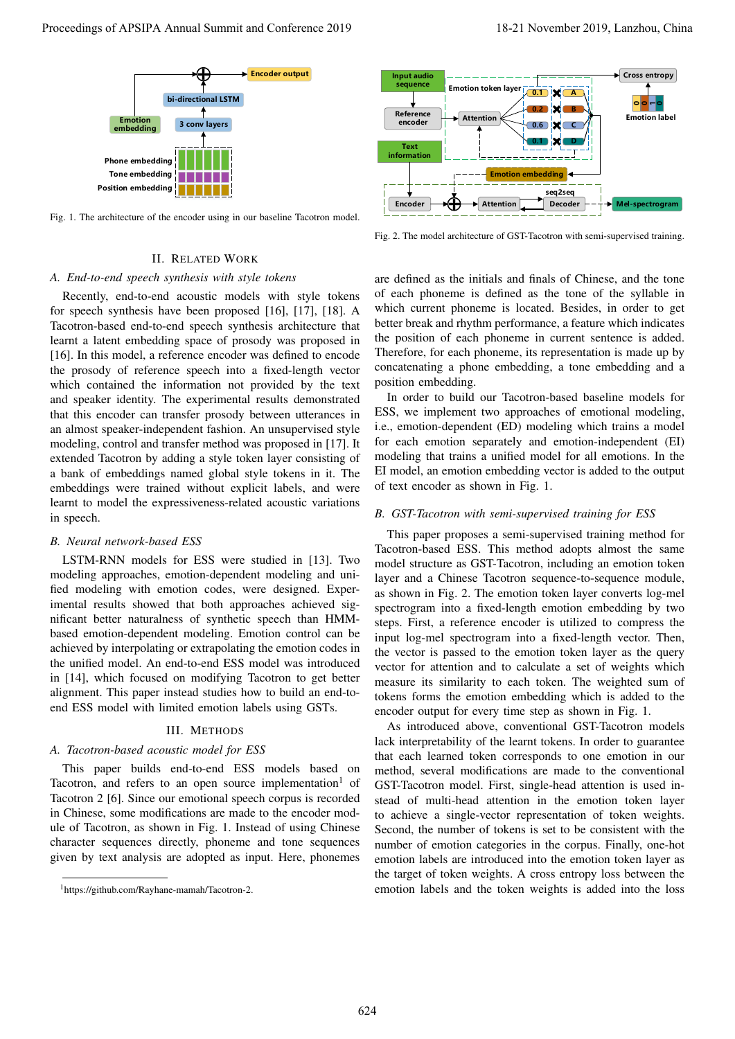

Fig. 1. The architecture of the encoder using in our baseline Tacotron model.

#### II. RELATED WORK

## *A. End-to-end speech synthesis with style tokens*

Recently, end-to-end acoustic models with style tokens for speech synthesis have been proposed [16], [17], [18]. A Tacotron-based end-to-end speech synthesis architecture that learnt a latent embedding space of prosody was proposed in [16]. In this model, a reference encoder was defined to encode the prosody of reference speech into a fixed-length vector which contained the information not provided by the text and speaker identity. The experimental results demonstrated that this encoder can transfer prosody between utterances in an almost speaker-independent fashion. An unsupervised style modeling, control and transfer method was proposed in [17]. It extended Tacotron by adding a style token layer consisting of a bank of embeddings named global style tokens in it. The embeddings were trained without explicit labels, and were learnt to model the expressiveness-related acoustic variations in speech. **Proceedings of APSIPA Annual Summit and Conference 2019**<br> **Proceedings of APSIPA Annual Summit and Conference 2019**<br> **Proceeding of APSIPA Annual Summit and Conference 2019**<br> **Proceeding of APSIPA Annual Summit and Confe** 

#### *B. Neural network-based ESS*

LSTM-RNN models for ESS were studied in [13]. Two modeling approaches, emotion-dependent modeling and unified modeling with emotion codes, were designed. Experimental results showed that both approaches achieved significant better naturalness of synthetic speech than HMMbased emotion-dependent modeling. Emotion control can be achieved by interpolating or extrapolating the emotion codes in the unified model. An end-to-end ESS model was introduced in [14], which focused on modifying Tacotron to get better alignment. This paper instead studies how to build an end-toend ESS model with limited emotion labels using GSTs.

## III. METHODS

## *A. Tacotron-based acoustic model for ESS*

This paper builds end-to-end ESS models based on Tacotron, and refers to an open source implementation<sup>1</sup> of Tacotron 2 [6]. Since our emotional speech corpus is recorded in Chinese, some modifications are made to the encoder module of Tacotron, as shown in Fig. 1. Instead of using Chinese character sequences directly, phoneme and tone sequences given by text analysis are adopted as input. Here, phonemes



Fig. 2. The model architecture of GST-Tacotron with semi-supervised training.

are defined as the initials and finals of Chinese, and the tone of each phoneme is defined as the tone of the syllable in which current phoneme is located. Besides, in order to get better break and rhythm performance, a feature which indicates the position of each phoneme in current sentence is added. Therefore, for each phoneme, its representation is made up by concatenating a phone embedding, a tone embedding and a position embedding.

In order to build our Tacotron-based baseline models for ESS, we implement two approaches of emotional modeling, i.e., emotion-dependent (ED) modeling which trains a model for each emotion separately and emotion-independent (EI) modeling that trains a unified model for all emotions. In the EI model, an emotion embedding vector is added to the output of text encoder as shown in Fig. 1.

#### *B. GST-Tacotron with semi-supervised training for ESS*

This paper proposes a semi-supervised training method for Tacotron-based ESS. This method adopts almost the same model structure as GST-Tacotron, including an emotion token layer and a Chinese Tacotron sequence-to-sequence module, as shown in Fig. 2. The emotion token layer converts log-mel spectrogram into a fixed-length emotion embedding by two steps. First, a reference encoder is utilized to compress the input log-mel spectrogram into a fixed-length vector. Then, the vector is passed to the emotion token layer as the query vector for attention and to calculate a set of weights which measure its similarity to each token. The weighted sum of tokens forms the emotion embedding which is added to the encoder output for every time step as shown in Fig. 1.

As introduced above, conventional GST-Tacotron models lack interpretability of the learnt tokens. In order to guarantee that each learned token corresponds to one emotion in our method, several modifications are made to the conventional GST-Tacotron model. First, single-head attention is used instead of multi-head attention in the emotion token layer to achieve a single-vector representation of token weights. Second, the number of tokens is set to be consistent with the number of emotion categories in the corpus. Finally, one-hot emotion labels are introduced into the emotion token layer as the target of token weights. A cross entropy loss between the emotion labels and the token weights is added into the loss

<sup>1</sup>https://github.com/Rayhane-mamah/Tacotron-2.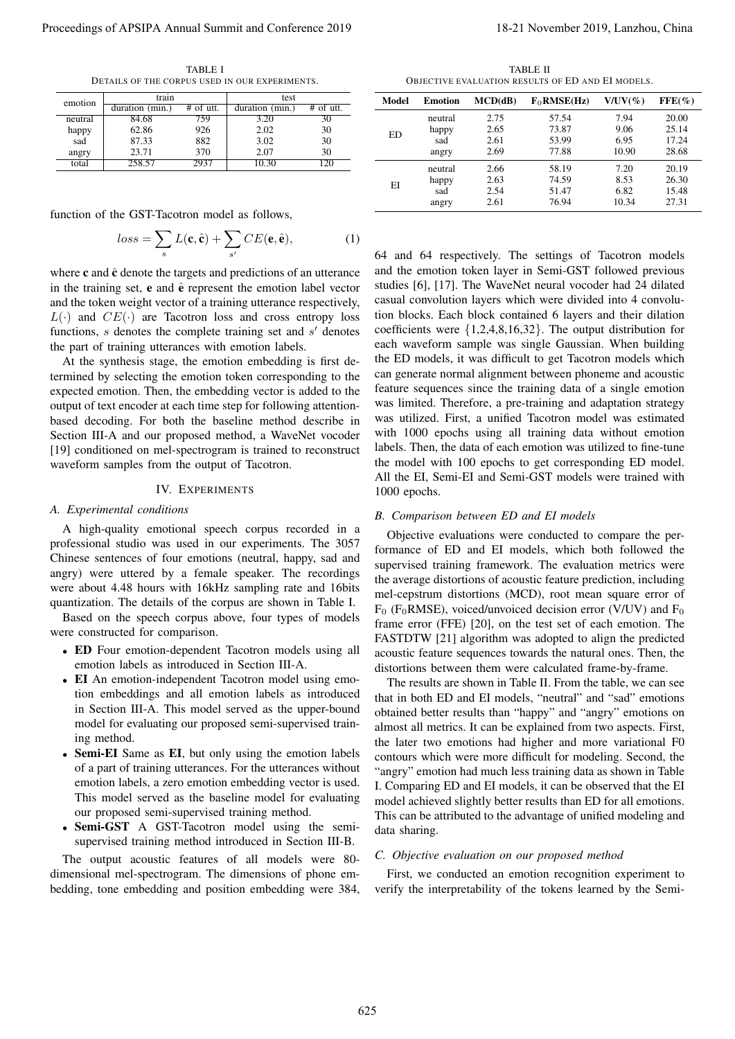TABLE I DETAILS OF THE CORPUS USED IN OUR EXPERIMENTS.

| emotion | train           |           | test            |           |  |
|---------|-----------------|-----------|-----------------|-----------|--|
|         | duration (min.) | # of utt. | duration (min.) | # of utt. |  |
| neutral | 84.68           | 759       | 3.20            | 30        |  |
| happy   | 62.86           | 926       | 2.02            | 30        |  |
| sad     | 87.33           | 882       | 3.02            | 30        |  |
| angry   | 23.71           | 370       | 2.07            | 30        |  |
| total   | 258.57          | 2937      | 10.30           |           |  |

function of the GST-Tacotron model as follows,

$$
loss = \sum_{s} L(\mathbf{c}, \hat{\mathbf{c}}) + \sum_{s'} CE(\mathbf{e}, \hat{\mathbf{e}}), \tag{1}
$$

where  $\bf c$  and  $\hat{\bf c}$  denote the targets and predictions of an utterance in the training set,  $e$  and  $\hat{e}$  represent the emotion label vector and the token weight vector of a training utterance respectively,  $L(\cdot)$  and  $CE(\cdot)$  are Tacotron loss and cross entropy loss functions,  $s$  denotes the complete training set and  $s'$  denotes the part of training utterances with emotion labels.

At the synthesis stage, the emotion embedding is first determined by selecting the emotion token corresponding to the expected emotion. Then, the embedding vector is added to the output of text encoder at each time step for following attentionbased decoding. For both the baseline method describe in Section III-A and our proposed method, a WaveNet vocoder [19] conditioned on mel-spectrogram is trained to reconstruct waveform samples from the output of Tacotron.

#### IV. EXPERIMENTS

## *A. Experimental conditions*

A high-quality emotional speech corpus recorded in a professional studio was used in our experiments. The 3057 Chinese sentences of four emotions (neutral, happy, sad and angry) were uttered by a female speaker. The recordings were about 4.48 hours with 16kHz sampling rate and 16bits quantization. The details of the corpus are shown in Table I.

Based on the speech corpus above, four types of models were constructed for comparison.

- ED Four emotion-dependent Tacotron models using all emotion labels as introduced in Section III-A.
- EI An emotion-independent Tacotron model using emotion embeddings and all emotion labels as introduced in Section III-A. This model served as the upper-bound model for evaluating our proposed semi-supervised training method.
- Semi-EI Same as EI, but only using the emotion labels of a part of training utterances. For the utterances without emotion labels, a zero emotion embedding vector is used. This model served as the baseline model for evaluating our proposed semi-supervised training method.
- **Semi-GST** A GST-Tacotron model using the semisupervised training method introduced in Section III-B.

The output acoustic features of all models were 80 dimensional mel-spectrogram. The dimensions of phone embedding, tone embedding and position embedding were 384,

TABLE II OBJECTIVE EVALUATION RESULTS OF ED AND EI MODELS.

| Model | <b>Emotion</b> | MCD(dB) | $F_0$ RMSE(Hz) | $V/UV(\%)$ | $\text{FFE}(\%)$ |
|-------|----------------|---------|----------------|------------|------------------|
|       | neutral        | 2.75    | 57.54          | 7.94       | 20.00            |
|       | happy          | 2.65    | 73.87          | 9.06       | 25.14            |
| ED    | sad            | 2.61    | 53.99          | 6.95       | 17.24            |
|       | angry          | 2.69    | 77.88          | 10.90      | 28.68            |
|       | neutral        | 2.66    | 58.19          | 7.20       | 20.19            |
|       | happy          | 2.63    | 74.59          | 8.53       | 26.30            |
| EI    | sad            | 2.54    | 51.47          | 6.82       | 15.48            |
|       | angry          | 2.61    | 76.94          | 10.34      | 27.31            |

64 and 64 respectively. The settings of Tacotron models and the emotion token layer in Semi-GST followed previous studies [6], [17]. The WaveNet neural vocoder had 24 dilated casual convolution layers which were divided into 4 convolution blocks. Each block contained 6 layers and their dilation coefficients were {1,2,4,8,16,32}. The output distribution for each waveform sample was single Gaussian. When building the ED models, it was difficult to get Tacotron models which can generate normal alignment between phoneme and acoustic feature sequences since the training data of a single emotion was limited. Therefore, a pre-training and adaptation strategy was utilized. First, a unified Tacotron model was estimated with 1000 epochs using all training data without emotion labels. Then, the data of each emotion was utilized to fine-tune the model with 100 epochs to get corresponding ED model. All the EI, Semi-EI and Semi-GST models were trained with 1000 epochs. Proceedings of APSIPA Annual Summit and Conference 2019<br>
Procedure 2019 18-21 November 2019, Lanzhou, China 79: Lanzhou, China 79: Lanzhou, China 625, Lanzhou, China 625, Lanzhou, China 625, Lanzhou, China 625, Lanzhou, C

#### *B. Comparison between ED and EI models*

Objective evaluations were conducted to compare the performance of ED and EI models, which both followed the supervised training framework. The evaluation metrics were the average distortions of acoustic feature prediction, including mel-cepstrum distortions (MCD), root mean square error of  $F_0$  (F<sub>0</sub>RMSE), voiced/unvoiced decision error (V/UV) and  $F_0$ frame error (FFE) [20], on the test set of each emotion. The FASTDTW [21] algorithm was adopted to align the predicted acoustic feature sequences towards the natural ones. Then, the distortions between them were calculated frame-by-frame.

The results are shown in Table II. From the table, we can see that in both ED and EI models, "neutral" and "sad" emotions obtained better results than "happy" and "angry" emotions on almost all metrics. It can be explained from two aspects. First, the later two emotions had higher and more variational F0 contours which were more difficult for modeling. Second, the "angry" emotion had much less training data as shown in Table I. Comparing ED and EI models, it can be observed that the EI model achieved slightly better results than ED for all emotions. This can be attributed to the advantage of unified modeling and data sharing.

## *C. Objective evaluation on our proposed method*

First, we conducted an emotion recognition experiment to verify the interpretability of the tokens learned by the Semi-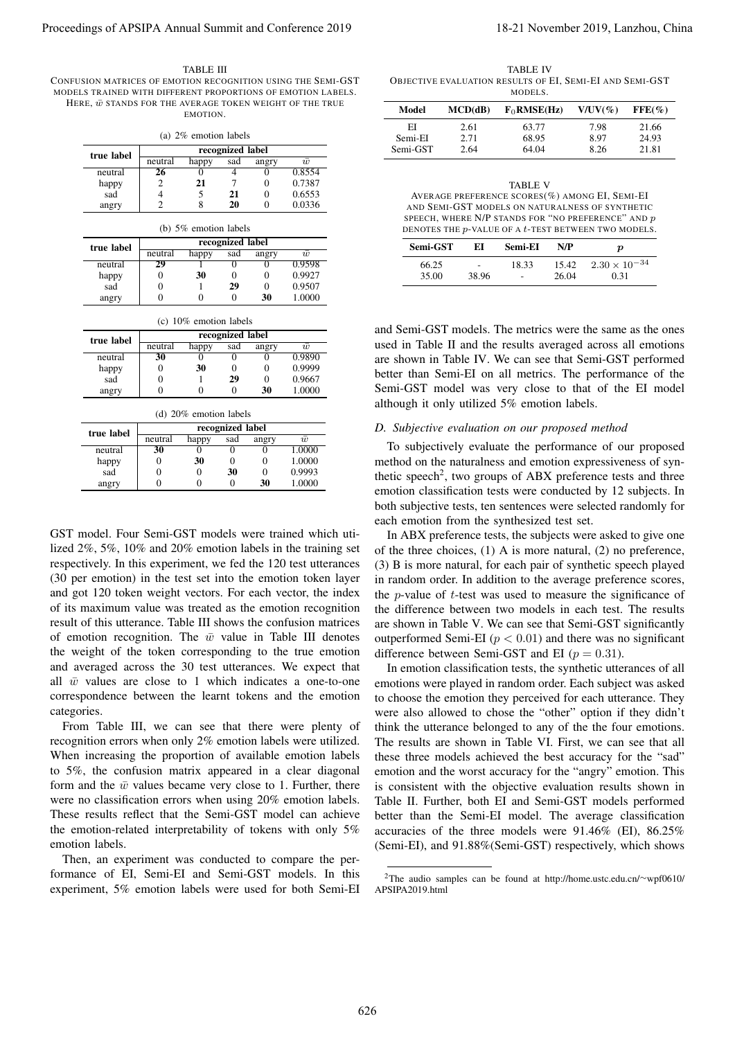| HERE, $\bar{w}$ stands for the average token weight of the true |                                      | <b>TABLE III</b>          |                                      |                                      | CONFUSION MATRICES OF EMOTION RECOGNITION USING THE SEMI-GST<br>MODELS TRAINED WITH DIFFERENT PROPORTIONS OF EMOTION LABELS.                                                                                                                                                                                                                                                                                                                                                                                                                                                                                                                                                                                                                                                                                                                                                                                                                                                                                                                                                                                           |                                                                                                                                                                                                                                                                                                                                                                                                                                                                                                                                                                                                                                                                                                                                                                                                                                                                                                                                                                                                                                                                                                                                                                                                                                                        |              | <b>TABLE IV</b><br>MODELS. |       | OBJECTIVE EVALUATION RESULTS OF EI, SEMI-EI AND SEMI-GST                                                                                                  |                  |
|-----------------------------------------------------------------|--------------------------------------|---------------------------|--------------------------------------|--------------------------------------|------------------------------------------------------------------------------------------------------------------------------------------------------------------------------------------------------------------------------------------------------------------------------------------------------------------------------------------------------------------------------------------------------------------------------------------------------------------------------------------------------------------------------------------------------------------------------------------------------------------------------------------------------------------------------------------------------------------------------------------------------------------------------------------------------------------------------------------------------------------------------------------------------------------------------------------------------------------------------------------------------------------------------------------------------------------------------------------------------------------------|--------------------------------------------------------------------------------------------------------------------------------------------------------------------------------------------------------------------------------------------------------------------------------------------------------------------------------------------------------------------------------------------------------------------------------------------------------------------------------------------------------------------------------------------------------------------------------------------------------------------------------------------------------------------------------------------------------------------------------------------------------------------------------------------------------------------------------------------------------------------------------------------------------------------------------------------------------------------------------------------------------------------------------------------------------------------------------------------------------------------------------------------------------------------------------------------------------------------------------------------------------|--------------|----------------------------|-------|-----------------------------------------------------------------------------------------------------------------------------------------------------------|------------------|
|                                                                 |                                      | EMOTION.                  |                                      |                                      |                                                                                                                                                                                                                                                                                                                                                                                                                                                                                                                                                                                                                                                                                                                                                                                                                                                                                                                                                                                                                                                                                                                        | Model                                                                                                                                                                                                                                                                                                                                                                                                                                                                                                                                                                                                                                                                                                                                                                                                                                                                                                                                                                                                                                                                                                                                                                                                                                                  | MCD(dB)      | $F_0$ RMSE(Hz)             |       | $V/UV(\%)$                                                                                                                                                | $\text{FFE}(\%)$ |
|                                                                 |                                      | (a) $2\%$ emotion labels  |                                      |                                      |                                                                                                                                                                                                                                                                                                                                                                                                                                                                                                                                                                                                                                                                                                                                                                                                                                                                                                                                                                                                                                                                                                                        | ΕI<br>Semi-EI                                                                                                                                                                                                                                                                                                                                                                                                                                                                                                                                                                                                                                                                                                                                                                                                                                                                                                                                                                                                                                                                                                                                                                                                                                          | 2.61<br>2.71 | 63.77<br>68.95             |       | 7.98<br>8.97                                                                                                                                              | 21.66<br>24.93   |
| true label                                                      |                                      |                           | recognized label                     |                                      |                                                                                                                                                                                                                                                                                                                                                                                                                                                                                                                                                                                                                                                                                                                                                                                                                                                                                                                                                                                                                                                                                                                        | Semi-GST                                                                                                                                                                                                                                                                                                                                                                                                                                                                                                                                                                                                                                                                                                                                                                                                                                                                                                                                                                                                                                                                                                                                                                                                                                               | 2.64         | 64.04                      |       | 8.26                                                                                                                                                      | 21.81            |
|                                                                 | neutral                              | happy                     | sad                                  | angry                                | $\bar{w}$<br>0.8554                                                                                                                                                                                                                                                                                                                                                                                                                                                                                                                                                                                                                                                                                                                                                                                                                                                                                                                                                                                                                                                                                                    |                                                                                                                                                                                                                                                                                                                                                                                                                                                                                                                                                                                                                                                                                                                                                                                                                                                                                                                                                                                                                                                                                                                                                                                                                                                        |              |                            |       |                                                                                                                                                           |                  |
| neutral<br>happy                                                | 26<br>2                              | 0<br>21                   | $\overline{4}$<br>7                  | 0<br>$\boldsymbol{0}$                | 0.7387                                                                                                                                                                                                                                                                                                                                                                                                                                                                                                                                                                                                                                                                                                                                                                                                                                                                                                                                                                                                                                                                                                                 |                                                                                                                                                                                                                                                                                                                                                                                                                                                                                                                                                                                                                                                                                                                                                                                                                                                                                                                                                                                                                                                                                                                                                                                                                                                        |              | <b>TABLE V</b>             |       |                                                                                                                                                           |                  |
| sad<br>angry                                                    | 4<br>2                               | 5<br>8                    | 21<br>20                             | $\boldsymbol{0}$<br>$\mathbf{0}$     | 0.6553<br>0.0336                                                                                                                                                                                                                                                                                                                                                                                                                                                                                                                                                                                                                                                                                                                                                                                                                                                                                                                                                                                                                                                                                                       |                                                                                                                                                                                                                                                                                                                                                                                                                                                                                                                                                                                                                                                                                                                                                                                                                                                                                                                                                                                                                                                                                                                                                                                                                                                        |              |                            |       | AVERAGE PREFERENCE SCORES(%) AMONG EI, SEMI-EI<br>AND SEMI-GST MODELS ON NATURALNESS OF SYNTHETIC<br>SPEECH, WHERE N/P STANDS FOR "NO PREFERENCE" AND $p$ |                  |
|                                                                 |                                      | (b) $5\%$ emotion labels  |                                      |                                      |                                                                                                                                                                                                                                                                                                                                                                                                                                                                                                                                                                                                                                                                                                                                                                                                                                                                                                                                                                                                                                                                                                                        |                                                                                                                                                                                                                                                                                                                                                                                                                                                                                                                                                                                                                                                                                                                                                                                                                                                                                                                                                                                                                                                                                                                                                                                                                                                        |              |                            |       | DENOTES THE <i>p</i> -VALUE OF A <i>t</i> -TEST BETWEEN TWO MODELS.                                                                                       |                  |
| true label                                                      | neutral                              | happy                     | recognized label<br>sad              | angry                                | $\bar{w}$                                                                                                                                                                                                                                                                                                                                                                                                                                                                                                                                                                                                                                                                                                                                                                                                                                                                                                                                                                                                                                                                                                              | Semi-GST                                                                                                                                                                                                                                                                                                                                                                                                                                                                                                                                                                                                                                                                                                                                                                                                                                                                                                                                                                                                                                                                                                                                                                                                                                               | ΕI           | Semi-EI                    | N/P   | $\boldsymbol{p}$                                                                                                                                          |                  |
| neutral                                                         | 29                                   | 1                         | $\overline{0}$                       | 0                                    | 0.9598                                                                                                                                                                                                                                                                                                                                                                                                                                                                                                                                                                                                                                                                                                                                                                                                                                                                                                                                                                                                                                                                                                                 | 66.25                                                                                                                                                                                                                                                                                                                                                                                                                                                                                                                                                                                                                                                                                                                                                                                                                                                                                                                                                                                                                                                                                                                                                                                                                                                  |              | 18.33                      | 15.42 | $2.30\times10^{-34}$                                                                                                                                      |                  |
| happy<br>sad                                                    | $\boldsymbol{0}$<br>$\boldsymbol{0}$ | 30<br>1                   | $\boldsymbol{0}$<br>29               | $\boldsymbol{0}$<br>$\boldsymbol{0}$ | 0.9927<br>0.9507                                                                                                                                                                                                                                                                                                                                                                                                                                                                                                                                                                                                                                                                                                                                                                                                                                                                                                                                                                                                                                                                                                       | 35.00                                                                                                                                                                                                                                                                                                                                                                                                                                                                                                                                                                                                                                                                                                                                                                                                                                                                                                                                                                                                                                                                                                                                                                                                                                                  | 38.96        | $\overline{\phantom{a}}$   | 26.04 | 0.31                                                                                                                                                      |                  |
| angry                                                           | $\mathbf{0}$                         | $\mathbf{0}$              | $\overline{0}$                       | 30                                   | 1.0000                                                                                                                                                                                                                                                                                                                                                                                                                                                                                                                                                                                                                                                                                                                                                                                                                                                                                                                                                                                                                                                                                                                 |                                                                                                                                                                                                                                                                                                                                                                                                                                                                                                                                                                                                                                                                                                                                                                                                                                                                                                                                                                                                                                                                                                                                                                                                                                                        |              |                            |       |                                                                                                                                                           |                  |
|                                                                 |                                      | (c) 10% emotion labels    |                                      |                                      |                                                                                                                                                                                                                                                                                                                                                                                                                                                                                                                                                                                                                                                                                                                                                                                                                                                                                                                                                                                                                                                                                                                        |                                                                                                                                                                                                                                                                                                                                                                                                                                                                                                                                                                                                                                                                                                                                                                                                                                                                                                                                                                                                                                                                                                                                                                                                                                                        |              |                            |       |                                                                                                                                                           |                  |
|                                                                 |                                      |                           | recognized label                     |                                      |                                                                                                                                                                                                                                                                                                                                                                                                                                                                                                                                                                                                                                                                                                                                                                                                                                                                                                                                                                                                                                                                                                                        | and Semi-GST models. The metrics were the same as the ones                                                                                                                                                                                                                                                                                                                                                                                                                                                                                                                                                                                                                                                                                                                                                                                                                                                                                                                                                                                                                                                                                                                                                                                             |              |                            |       |                                                                                                                                                           |                  |
| true label                                                      | neutral                              | happy                     | sad                                  | angry                                | $\bar{w}$                                                                                                                                                                                                                                                                                                                                                                                                                                                                                                                                                                                                                                                                                                                                                                                                                                                                                                                                                                                                                                                                                                              | used in Table II and the results averaged across all emotions                                                                                                                                                                                                                                                                                                                                                                                                                                                                                                                                                                                                                                                                                                                                                                                                                                                                                                                                                                                                                                                                                                                                                                                          |              |                            |       |                                                                                                                                                           |                  |
| neutral                                                         | 30<br>$\boldsymbol{0}$               | 0<br>30                   | $\boldsymbol{0}$<br>$\boldsymbol{0}$ | 0<br>$\boldsymbol{0}$                | 0.9890<br>0.9999                                                                                                                                                                                                                                                                                                                                                                                                                                                                                                                                                                                                                                                                                                                                                                                                                                                                                                                                                                                                                                                                                                       | are shown in Table IV. We can see that Semi-GST performed                                                                                                                                                                                                                                                                                                                                                                                                                                                                                                                                                                                                                                                                                                                                                                                                                                                                                                                                                                                                                                                                                                                                                                                              |              |                            |       |                                                                                                                                                           |                  |
| happy<br>sad                                                    | $\boldsymbol{0}$                     | 1                         | 29                                   | $\boldsymbol{0}$                     | 0.9667                                                                                                                                                                                                                                                                                                                                                                                                                                                                                                                                                                                                                                                                                                                                                                                                                                                                                                                                                                                                                                                                                                                 | better than Semi-EI on all metrics. The performance of the                                                                                                                                                                                                                                                                                                                                                                                                                                                                                                                                                                                                                                                                                                                                                                                                                                                                                                                                                                                                                                                                                                                                                                                             |              |                            |       |                                                                                                                                                           |                  |
| angry                                                           | $\mathbf{0}$                         | $\mathbf{0}$              | $\Omega$                             | 30                                   | 1.0000                                                                                                                                                                                                                                                                                                                                                                                                                                                                                                                                                                                                                                                                                                                                                                                                                                                                                                                                                                                                                                                                                                                 | Semi-GST model was very close to that of the EI model                                                                                                                                                                                                                                                                                                                                                                                                                                                                                                                                                                                                                                                                                                                                                                                                                                                                                                                                                                                                                                                                                                                                                                                                  |              |                            |       |                                                                                                                                                           |                  |
|                                                                 |                                      | (d) $20\%$ emotion labels |                                      |                                      |                                                                                                                                                                                                                                                                                                                                                                                                                                                                                                                                                                                                                                                                                                                                                                                                                                                                                                                                                                                                                                                                                                                        | although it only utilized 5% emotion labels.                                                                                                                                                                                                                                                                                                                                                                                                                                                                                                                                                                                                                                                                                                                                                                                                                                                                                                                                                                                                                                                                                                                                                                                                           |              |                            |       |                                                                                                                                                           |                  |
| true label                                                      |                                      |                           | recognized label                     |                                      |                                                                                                                                                                                                                                                                                                                                                                                                                                                                                                                                                                                                                                                                                                                                                                                                                                                                                                                                                                                                                                                                                                                        | D. Subjective evaluation on our proposed method                                                                                                                                                                                                                                                                                                                                                                                                                                                                                                                                                                                                                                                                                                                                                                                                                                                                                                                                                                                                                                                                                                                                                                                                        |              |                            |       |                                                                                                                                                           |                  |
| neutral                                                         | neutral<br>30                        | happy<br>$\overline{0}$   | sad<br>$\overline{0}$                | angry<br>$\overline{0}$              | $\bar{w}$<br>1.0000                                                                                                                                                                                                                                                                                                                                                                                                                                                                                                                                                                                                                                                                                                                                                                                                                                                                                                                                                                                                                                                                                                    | To subjectively evaluate the performance of our proposed                                                                                                                                                                                                                                                                                                                                                                                                                                                                                                                                                                                                                                                                                                                                                                                                                                                                                                                                                                                                                                                                                                                                                                                               |              |                            |       |                                                                                                                                                           |                  |
| happy                                                           | $\boldsymbol{0}$                     | 30                        | $\mathbf{0}$                         | $\boldsymbol{0}$                     | 1.0000                                                                                                                                                                                                                                                                                                                                                                                                                                                                                                                                                                                                                                                                                                                                                                                                                                                                                                                                                                                                                                                                                                                 | method on the naturalness and emotion expressiveness of syn-                                                                                                                                                                                                                                                                                                                                                                                                                                                                                                                                                                                                                                                                                                                                                                                                                                                                                                                                                                                                                                                                                                                                                                                           |              |                            |       |                                                                                                                                                           |                  |
|                                                                 |                                      |                           |                                      |                                      |                                                                                                                                                                                                                                                                                                                                                                                                                                                                                                                                                                                                                                                                                                                                                                                                                                                                                                                                                                                                                                                                                                                        |                                                                                                                                                                                                                                                                                                                                                                                                                                                                                                                                                                                                                                                                                                                                                                                                                                                                                                                                                                                                                                                                                                                                                                                                                                                        |              |                            |       |                                                                                                                                                           |                  |
| sad                                                             | $\mathbf{0}$                         | $\boldsymbol{0}$          | 30                                   | $\boldsymbol{0}$                     | 0.9993                                                                                                                                                                                                                                                                                                                                                                                                                                                                                                                                                                                                                                                                                                                                                                                                                                                                                                                                                                                                                                                                                                                 | thetic speech <sup>2</sup> , two groups of ABX preference tests and three                                                                                                                                                                                                                                                                                                                                                                                                                                                                                                                                                                                                                                                                                                                                                                                                                                                                                                                                                                                                                                                                                                                                                                              |              |                            |       |                                                                                                                                                           |                  |
| angry                                                           | $\boldsymbol{0}$                     | $\overline{0}$            | $\boldsymbol{0}$                     | 30                                   | 1.0000<br>GST model. Four Semi-GST models were trained which uti-<br>lized $2\%, 5\%, 10\%$ and $20\%$ emotion labels in the training set<br>respectively. In this experiment, we fed the 120 test utterances                                                                                                                                                                                                                                                                                                                                                                                                                                                                                                                                                                                                                                                                                                                                                                                                                                                                                                          | emotion classification tests were conducted by 12 subjects. In<br>both subjective tests, ten sentences were selected randomly for<br>each emotion from the synthesized test set.<br>In ABX preference tests, the subjects were asked to give one<br>of the three choices, $(1)$ A is more natural, $(2)$ no preference,<br>(3) B is more natural, for each pair of synthetic speech played                                                                                                                                                                                                                                                                                                                                                                                                                                                                                                                                                                                                                                                                                                                                                                                                                                                             |              |                            |       |                                                                                                                                                           |                  |
| categories.<br>emotion labels.                                  |                                      |                           |                                      |                                      | (30 per emotion) in the test set into the emotion token layer<br>and got 120 token weight vectors. For each vector, the index<br>of its maximum value was treated as the emotion recognition<br>result of this utterance. Table III shows the confusion matrices<br>of emotion recognition. The $\bar{w}$ value in Table III denotes<br>the weight of the token corresponding to the true emotion<br>and averaged across the 30 test utterances. We expect that<br>all $\bar{w}$ values are close to 1 which indicates a one-to-one<br>correspondence between the learnt tokens and the emotion<br>From Table III, we can see that there were plenty of<br>recognition errors when only 2% emotion labels were utilized.<br>When increasing the proportion of available emotion labels<br>to 5%, the confusion matrix appeared in a clear diagonal<br>form and the $\bar{w}$ values became very close to 1. Further, there<br>were no classification errors when using 20% emotion labels.<br>These results reflect that the Semi-GST model can achieve<br>the emotion-related interpretability of tokens with only 5% | in random order. In addition to the average preference scores,<br>the $p$ -value of $t$ -test was used to measure the significance of<br>the difference between two models in each test. The results<br>are shown in Table V. We can see that Semi-GST significantly<br>outperformed Semi-EI ( $p < 0.01$ ) and there was no significant<br>difference between Semi-GST and EI ( $p = 0.31$ ).<br>In emotion classification tests, the synthetic utterances of all<br>emotions were played in random order. Each subject was asked<br>to choose the emotion they perceived for each utterance. They<br>were also allowed to chose the "other" option if they didn't<br>think the utterance belonged to any of the the four emotions.<br>The results are shown in Table VI. First, we can see that all<br>these three models achieved the best accuracy for the "sad"<br>emotion and the worst accuracy for the "angry" emotion. This<br>is consistent with the objective evaluation results shown in<br>Table II. Further, both EI and Semi-GST models performed<br>better than the Semi-EI model. The average classification<br>accuracies of the three models were 91.46% (EI), 86.25%<br>(Semi-EI), and 91.88% (Semi-GST) respectively, which shows |              |                            |       |                                                                                                                                                           |                  |
|                                                                 |                                      |                           |                                      |                                      | Then, an experiment was conducted to compare the per-<br>formance of EI, Semi-EI and Semi-GST models. In this<br>experiment, 5% emotion labels were used for both Semi-EI                                                                                                                                                                                                                                                                                                                                                                                                                                                                                                                                                                                                                                                                                                                                                                                                                                                                                                                                              | <sup>2</sup> The audio samples can be found at http://home.ustc.edu.cn/~wpf0610/<br>APSIPA2019.html                                                                                                                                                                                                                                                                                                                                                                                                                                                                                                                                                                                                                                                                                                                                                                                                                                                                                                                                                                                                                                                                                                                                                    |              |                            |       |                                                                                                                                                           |                  |

TABLE IV OBJECTIVE EVALUATION RESULTS OF EI, SEMI-EI AND SEMI-GST MODELS.

| Model    | MCD(dB) | $F_0$ RMSE(Hz) | $V/UV(\%)$ | $FFE(\%)$ |
|----------|---------|----------------|------------|-----------|
| ЕI       | 2.61    | 63.77          | 7.98       | 21.66     |
| Semi-EI  | 2.71    | 68.95          | 8.97       | 24.93     |
| Semi-GST | 2.64    | 64.04          | 8.26       | 21.81     |

| TABLE V                                                   |
|-----------------------------------------------------------|
| AVERAGE PREFERENCE SCORES(%) AMONG EI, SEMI-EI            |
| AND SEMI-GST MODELS ON NATURALNESS OF SYNTHETIC           |
| SPEECH, WHERE N/P STANDS FOR "NO PREFERENCE" AND $p$      |
| DENOTES THE $p$ -VALUE OF A $t$ -TEST BETWEEN TWO MODELS. |

| Semi-GST | ЕI    | Semi-EI | N/P   | D                      |
|----------|-------|---------|-------|------------------------|
| 66.25    | ٠     | 18.33   | 15.42 | $2.30 \times 10^{-34}$ |
| 35.00    | 38.96 | ٠       | 26.04 | 0.31                   |

## *D. Subjective evaluation on our proposed method*

<sup>2</sup>The audio samples can be found at http://home.ustc.edu.cn/∼wpf0610/ APSIPA2019.html